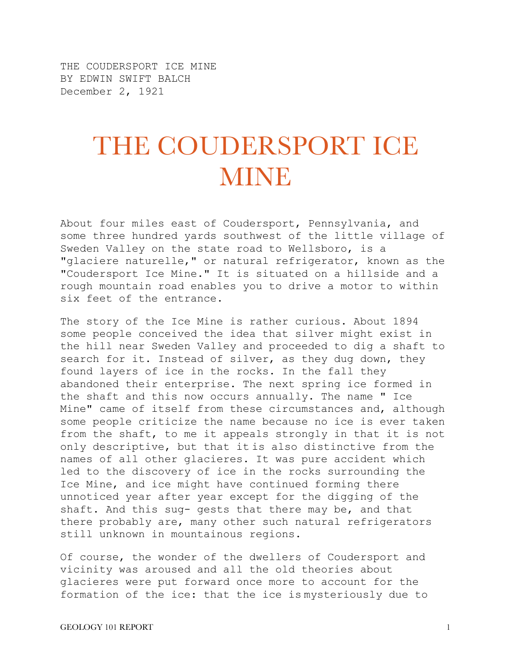THE COUDERSPORT ICE MINE BY EDWIN SWIFT BALCH December 2, 1921

## THE COUDERSPORT ICE **MINE**

About four miles east of Coudersport, Pennsylvania, and some three hundred yards southwest of the little village of Sweden Valley on the state road to Wellsboro, is a "glaciere naturelle," or natural refrigerator, known as the "Coudersport Ice Mine." It is situated on a hillside and a rough mountain road enables you to drive a motor to within six feet of the entrance.

The story of the Ice Mine is rather curious. About 1894 some people conceived the idea that silver might exist in the hill near Sweden Valley and proceeded to dig a shaft to search for it. Instead of silver, as they dug down, they found layers of ice in the rocks. In the fall they abandoned their enterprise. The next spring ice formed in the shaft and this now occurs annually. The name " Ice Mine" came of itself from these circumstances and, although some people criticize the name because no ice is ever taken from the shaft, to me it appeals strongly in that it is not only descriptive, but that it is also distinctive from the names of all other glacieres. It was pure accident which led to the discovery of ice in the rocks surrounding the Ice Mine, and ice might have continued forming there unnoticed year after year except for the digging of the shaft. And this sug- gests that there may be, and that there probably are, many other such natural refrigerators still unknown in mountainous regions.

Of course, the wonder of the dwellers of Coudersport and vicinity was aroused and all the old theories about glacieres were put forward once more to account for the formation of the ice: that the ice is mysteriously due to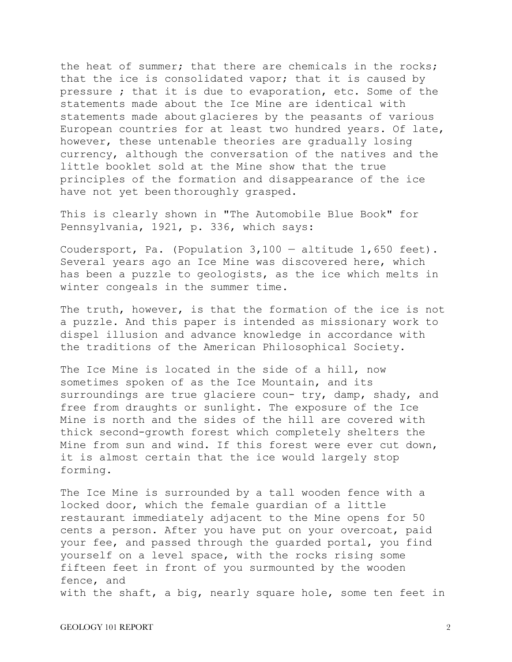the heat of summer; that there are chemicals in the rocks; that the ice is consolidated vapor; that it is caused by pressure ; that it is due to evaporation, etc. Some of the statements made about the Ice Mine are identical with statements made about glacieres by the peasants of various European countries for at least two hundred years. Of late, however, these untenable theories are gradually losing currency, although the conversation of the natives and the little booklet sold at the Mine show that the true principles of the formation and disappearance of the ice have not yet been thoroughly grasped.

This is clearly shown in "The Automobile Blue Book" for Pennsylvania, 1921, p. 336, which says:

Coudersport, Pa. (Population 3,100 — altitude 1,650 feet). Several years ago an Ice Mine was discovered here, which has been a puzzle to geologists, as the ice which melts in winter congeals in the summer time.

The truth, however, is that the formation of the ice is not a puzzle. And this paper is intended as missionary work to dispel illusion and advance knowledge in accordance with the traditions of the American Philosophical Society.

The Ice Mine is located in the side of a hill, now sometimes spoken of as the Ice Mountain, and its surroundings are true glaciere coun- try, damp, shady, and free from draughts or sunlight. The exposure of the Ice Mine is north and the sides of the hill are covered with thick second-growth forest which completely shelters the Mine from sun and wind. If this forest were ever cut down, it is almost certain that the ice would largely stop forming.

The Ice Mine is surrounded by a tall wooden fence with a locked door, which the female guardian of a little restaurant immediately adjacent to the Mine opens for 50 cents a person. After you have put on your overcoat, paid your fee, and passed through the guarded portal, you find yourself on a level space, with the rocks rising some fifteen feet in front of you surmounted by the wooden fence, and with the shaft, a big, nearly square hole, some ten feet in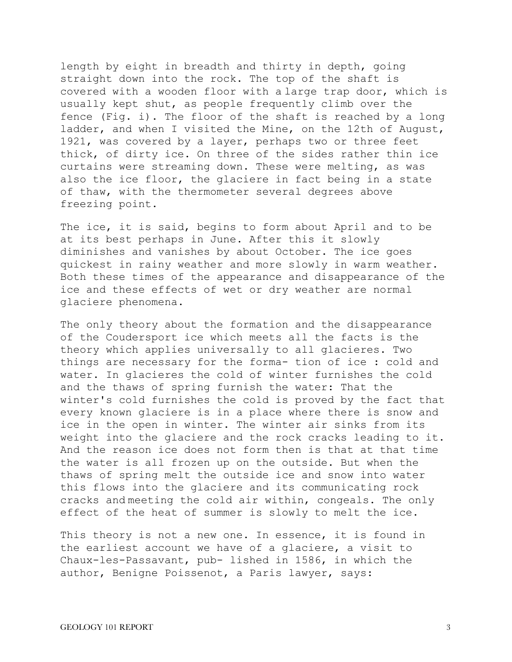length by eight in breadth and thirty in depth, going straight down into the rock. The top of the shaft is covered with a wooden floor with a large trap door, which is usually kept shut, as people frequently climb over the fence (Fig. i). The floor of the shaft is reached by a long ladder, and when I visited the Mine, on the 12th of August, 1921, was covered by a layer, perhaps two or three feet thick, of dirty ice. On three of the sides rather thin ice curtains were streaming down. These were melting, as was also the ice floor, the glaciere in fact being in a state of thaw, with the thermometer several degrees above freezing point.

The ice, it is said, begins to form about April and to be at its best perhaps in June. After this it slowly diminishes and vanishes by about October. The ice goes quickest in rainy weather and more slowly in warm weather. Both these times of the appearance and disappearance of the ice and these effects of wet or dry weather are normal glaciere phenomena.

The only theory about the formation and the disappearance of the Coudersport ice which meets all the facts is the theory which applies universally to all glacieres. Two things are necessary for the forma- tion of ice : cold and water. In glacieres the cold of winter furnishes the cold and the thaws of spring furnish the water: That the winter's cold furnishes the cold is proved by the fact that every known glaciere is in a place where there is snow and ice in the open in winter. The winter air sinks from its weight into the glaciere and the rock cracks leading to it. And the reason ice does not form then is that at that time the water is all frozen up on the outside. But when the thaws of spring melt the outside ice and snow into water this flows into the glaciere and its communicating rock cracks and meeting the cold air within, congeals. The only effect of the heat of summer is slowly to melt the ice.

This theory is not a new one. In essence, it is found in the earliest account we have of a glaciere, a visit to Chaux-les-Passavant, pub- lished in 1586, in which the author, Benigne Poissenot, a Paris lawyer, says: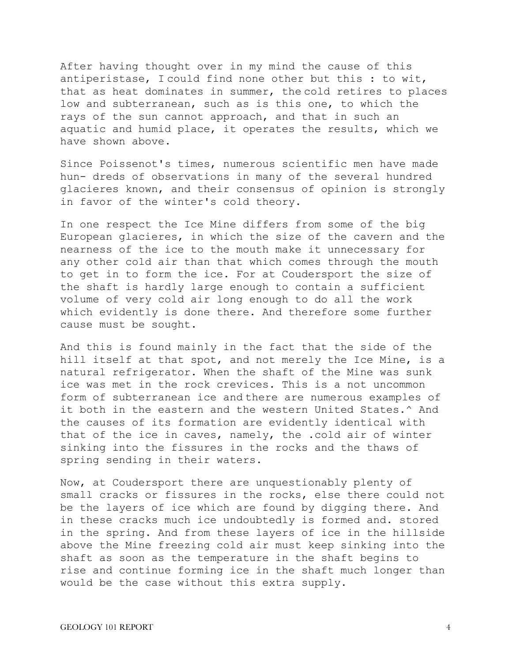After having thought over in my mind the cause of this antiperistase, I could find none other but this : to wit, that as heat dominates in summer, the cold retires to places low and subterranean, such as is this one, to which the rays of the sun cannot approach, and that in such an aquatic and humid place, it operates the results, which we have shown above.

Since Poissenot's times, numerous scientific men have made hun- dreds of observations in many of the several hundred glacieres known, and their consensus of opinion is strongly in favor of the winter's cold theory.

In one respect the Ice Mine differs from some of the big European glacieres, in which the size of the cavern and the nearness of the ice to the mouth make it unnecessary for any other cold air than that which comes through the mouth to get in to form the ice. For at Coudersport the size of the shaft is hardly large enough to contain a sufficient volume of very cold air long enough to do all the work which evidently is done there. And therefore some further cause must be sought.

And this is found mainly in the fact that the side of the hill itself at that spot, and not merely the Ice Mine, is a natural refrigerator. When the shaft of the Mine was sunk ice was met in the rock crevices. This is a not uncommon form of subterranean ice and there are numerous examples of it both in the eastern and the western United States.^ And the causes of its formation are evidently identical with that of the ice in caves, namely, the .cold air of winter sinking into the fissures in the rocks and the thaws of spring sending in their waters.

Now, at Coudersport there are unquestionably plenty of small cracks or fissures in the rocks, else there could not be the layers of ice which are found by digging there. And in these cracks much ice undoubtedly is formed and. stored in the spring. And from these layers of ice in the hillside above the Mine freezing cold air must keep sinking into the shaft as soon as the temperature in the shaft begins to rise and continue forming ice in the shaft much longer than would be the case without this extra supply.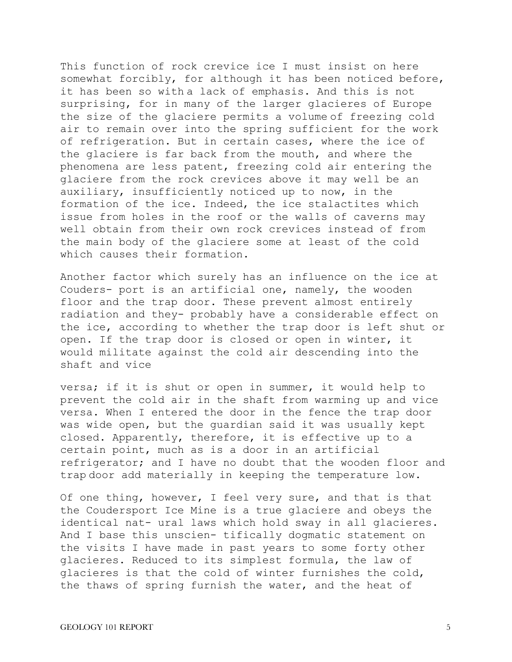This function of rock crevice ice I must insist on here somewhat forcibly, for although it has been noticed before, it has been so with a lack of emphasis. And this is not surprising, for in many of the larger glacieres of Europe the size of the glaciere permits a volume of freezing cold air to remain over into the spring sufficient for the work of refrigeration. But in certain cases, where the ice of the glaciere is far back from the mouth, and where the phenomena are less patent, freezing cold air entering the glaciere from the rock crevices above it may well be an auxiliary, insufficiently noticed up to now, in the formation of the ice. Indeed, the ice stalactites which issue from holes in the roof or the walls of caverns may well obtain from their own rock crevices instead of from the main body of the glaciere some at least of the cold which causes their formation.

Another factor which surely has an influence on the ice at Couders- port is an artificial one, namely, the wooden floor and the trap door. These prevent almost entirely radiation and they- probably have a considerable effect on the ice, according to whether the trap door is left shut or open. If the trap door is closed or open in winter, it would militate against the cold air descending into the shaft and vice

versa; if it is shut or open in summer, it would help to prevent the cold air in the shaft from warming up and vice versa. When I entered the door in the fence the trap door was wide open, but the guardian said it was usually kept closed. Apparently, therefore, it is effective up to a certain point, much as is a door in an artificial refrigerator; and I have no doubt that the wooden floor and trap door add materially in keeping the temperature low.

Of one thing, however, I feel very sure, and that is that the Coudersport Ice Mine is a true glaciere and obeys the identical nat- ural laws which hold sway in all glacieres. And I base this unscien- tifically dogmatic statement on the visits I have made in past years to some forty other glacieres. Reduced to its simplest formula, the law of glacieres is that the cold of winter furnishes the cold, the thaws of spring furnish the water, and the heat of